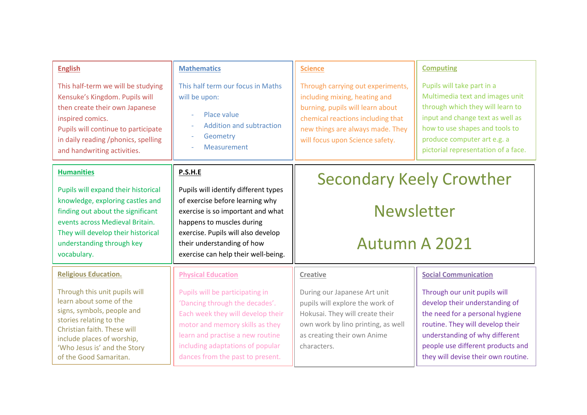| <b>English</b>                                                                                                                                                                                                                           | <b>Mathematics</b>                                                                                                                                                                                                                                                                 | <b>Science</b>                                                                                                                                                                                                     | <b>Computing</b>                                                                                                                                                                                                                                    |
|------------------------------------------------------------------------------------------------------------------------------------------------------------------------------------------------------------------------------------------|------------------------------------------------------------------------------------------------------------------------------------------------------------------------------------------------------------------------------------------------------------------------------------|--------------------------------------------------------------------------------------------------------------------------------------------------------------------------------------------------------------------|-----------------------------------------------------------------------------------------------------------------------------------------------------------------------------------------------------------------------------------------------------|
| This half-term we will be studying<br>Kensuke's Kingdom. Pupils will<br>then create their own Japanese<br>inspired comics.<br>Pupils will continue to participate<br>in daily reading /phonics, spelling<br>and handwriting activities.  | This half term our focus in Maths<br>will be upon:<br>Place value<br><b>Addition and subtraction</b><br>$\sim$<br>Geometry<br>Measurement                                                                                                                                          | Through carrying out experiments,<br>including mixing, heating and<br>burning, pupils will learn about<br>chemical reactions including that<br>new things are always made. They<br>will focus upon Science safety. | Pupils will take part in a<br>Multimedia text and images unit<br>through which they will learn to<br>input and change text as well as<br>how to use shapes and tools to<br>produce computer art e.g. a<br>pictorial representation of a face.       |
| <b>Humanities</b>                                                                                                                                                                                                                        | P.S.H.E                                                                                                                                                                                                                                                                            | <b>Secondary Keely Crowther</b>                                                                                                                                                                                    |                                                                                                                                                                                                                                                     |
| Pupils will expand their historical<br>knowledge, exploring castles and<br>finding out about the significant<br>events across Medieval Britain.<br>They will develop their historical<br>understanding through key                       | Pupils will identify different types<br>of exercise before learning why<br>exercise is so important and what<br>happens to muscles during<br>exercise. Pupils will also develop<br>their understanding of how                                                                      | <b>Newsletter</b><br><b>Autumn A 2021</b>                                                                                                                                                                          |                                                                                                                                                                                                                                                     |
| vocabulary.<br><b>Religious Education.</b>                                                                                                                                                                                               | exercise can help their well-being.                                                                                                                                                                                                                                                |                                                                                                                                                                                                                    | <b>Social Communication</b>                                                                                                                                                                                                                         |
| Through this unit pupils will<br>learn about some of the<br>signs, symbols, people and<br>stories relating to the<br>Christian faith. These will<br>include places of worship,<br>'Who Jesus is' and the Story<br>of the Good Samaritan. | <b>Physical Education</b><br>Pupils will be participating in<br>'Dancing through the decades'.<br>Each week they will develop their<br>motor and memory skills as they<br>learn and practise a new routine<br>including adaptations of popular<br>dances from the past to present. | <b>Creative</b><br>During our Japanese Art unit<br>pupils will explore the work of<br>Hokusai. They will create their<br>own work by lino printing, as well<br>as creating their own Anime<br>characters.          | Through our unit pupils will<br>develop their understanding of<br>the need for a personal hygiene<br>routine. They will develop their<br>understanding of why different<br>people use different products and<br>they will devise their own routine. |